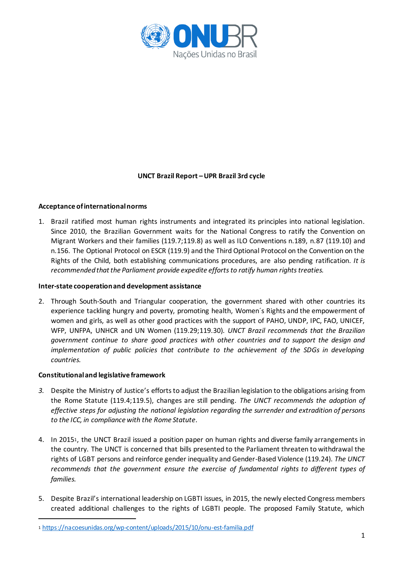

# **UNCT Brazil Report –UPR Brazil 3rd cycle**

# **Acceptance of international norms**

1. Brazil ratified most human rights instruments and integrated its principles into national legislation. Since 2010, the Brazilian Government waits for the National Congress to ratify the Convention on Migrant Workers and their families (119.7;119.8) as well as ILO Conventions n.189, n.87 (119.10) and n.156. The Optional Protocol on ESCR (119.9) and the Third Optional Protocol on the Convention on the Rights of the Child, both establishing communications procedures, are also pending ratification. *It is recommended that the Parliament provide expedite efforts to ratify human rights treaties.*

#### **Inter-state cooperation and development assistance**

2. Through South-South and Triangular cooperation, the government shared with other countries its experience tackling hungry and poverty, promoting health, Women´s Rights and the empowerment of women and girls, as well as other good practices with the support of PAHO, UNDP, IPC, FAO, UNICEF, WFP, UNFPA, UNHCR and UN Women (119.29;119.30). *UNCT Brazil recommends that the Brazilian government continue to share good practices with other countries and to support the design and implementation of public policies that contribute to the achievement of the SDGs in developing countries.* 

#### **Constitutional and legislative framework**

- 3. Despite the Ministry of Justice's efforts to adjust the Brazilian legislation to the obligations arising from the Rome Statute (119.4;119.5), changes are still pending. *The UNCT recommends the adoption of effective steps for adjusting the national legislation regarding the surrender and extradition of persons to the ICC, in compliance with the Rome Statute.*
- 4. In 20151, the UNCT Brazil issued a position paper on human rights and diverse family arrangements in the country. The UNCT is concerned that bills presented to the Parliament threaten to withdrawal the rights of LGBT persons and reinforce gender inequality and Gender-Based Violence (119.24). *The UNCT recommends that the government ensure the exercise of fundamental rights to different types of families.*
- 5. Despite Brazil's international leadership on LGBTI issues, in 2015, the newly elected Congress members created additional challenges to the rights of LGBTI people. The proposed Family Statute, which

<sup>1</sup> https://nacoesunidas.org/wp-content/uploads/2015/10/onu-est-familia.pdf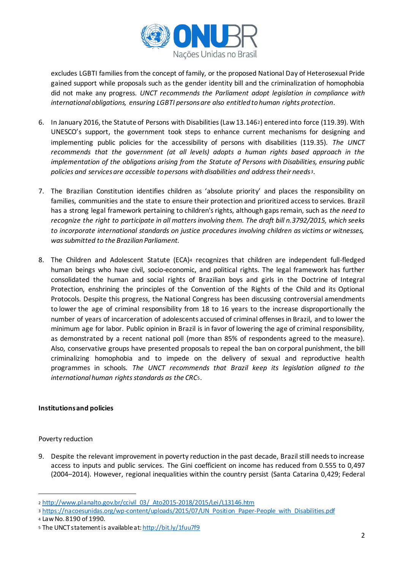

excludes LGBTI families from the concept of family, or the proposed National Day of Heterosexual Pride gained support while proposals such as the gender identity bill and the criminalization of homophobia did not make any progress. *UNCT recommends the Parliament adopt legislation in compliance with international obligations, ensuring LGBTI persons are also entitled to human rights protection.*

- 6. In January 2016, the Statute of Persons with Disabilities (Law 13.1462) entered into force (119.39). With UNESCO's support, the government took steps to enhance current mechanisms for designing and implementing public policies for the accessibility of persons with disabilities (119.35). *The UNCT recommends that the government (at all levels) adopts a human rights based approach in the implementation of the obligations arising from the Statute of Persons with Disabilities, ensuring public policies and services are accessible to persons with disabilities and address their needs3.*
- 7. The Brazilian Constitution identifies children as 'absolute priority' and places the responsibility on families, communities and the state to ensure their protection and prioritized access to services. Brazil has a strong legal framework pertaining to children's rights, although gaps remain, such as *the need to recognize the right to participate in all matters involving them. The draft bill n.3792/2015, which seeks to incorporate international standards on justice procedures involving children as victims or witnesses, wassubmitted to the Brazilian Parliament.*
- 8. The Children and Adolescent Statute (ECA)<sup>4</sup> recognizes that children are independent full-fledged human beings who have civil, socio-economic, and political rights. The legal framework has further consolidated the human and social rights of Brazilian boys and girls in the Doctrine of Integral Protection, enshrining the principles of the Convention of the Rights of the Child and its Optional Protocols. Despite this progress, the National Congress has been discussing controversial amendments to lower the age of criminal responsibility from 18 to 16 years to the increase disproportionally the number of years of incarceration of adolescents accused of criminal offenses in Brazil, and to lower the minimum age for labor. Public opinion in Brazil is in favor of lowering the age of criminal responsibility, as demonstrated by a recent national poll (more than 85% of respondents agreed to the measure). Also, conservative groups have presented proposals to repeal the ban on corporal punishment, the bill criminalizing homophobia and to impede on the delivery of sexual and reproductive health programmes in schools. *The UNCT recommends that Brazil keep its legislation aligned to the international human rights standards as the CRC*5.

# **Institutions and policies**

Poverty reduction

-

9. Despite the relevant improvement in poverty reduction in the past decade, Brazil still needs to increase access to inputs and public services. The Gini coefficient on income has reduced from 0.555 to 0,497 (2004–2014). However, regional inequalities within the country persist (Santa Catarina 0,429; Federal

<sup>2</sup> http://www.planalto.gov.br/ccivil\_03/\_Ato2015-2018/2015/Lei/L13146.htm

<sup>3</sup> https://nacoesunidas.org/wp-content/uploads/2015/07/UN\_Position\_Paper-People\_with\_Disabilities.pdf

<sup>4</sup> Law No. 8190 of 1990.

<sup>5</sup> The UNCT statement is available at: http://bit.ly/1fuu7f9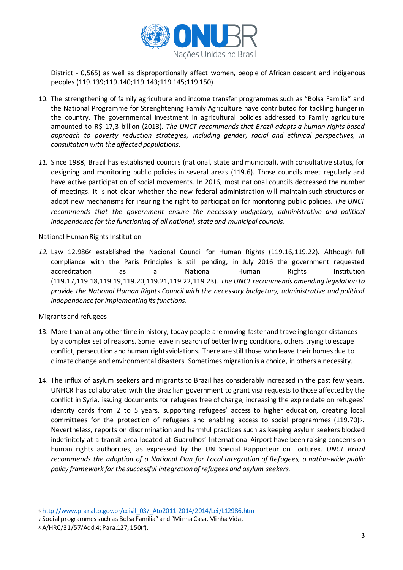

District - 0,565) as well as disproportionally affect women, people of African descent and indigenous peoples (119.139;119.140;119.143;119.145;119.150).

- 10. The strengthening of family agriculture and income transfer programmes such as "Bolsa Familia" and the National Programme for Strenghtening Family Agriculture have contributed for tackling hunger in the country. The governmental investment in agricultural policies addressed to Family agriculture amounted to R\$ 17,3 billion (2013). *The UNCT recommends that Brazil adopts a human rights based approach to poverty reduction strategies, including gender, racial and ethnical perspectives, in consultation with the affected populations*.
- *11.* Since 1988, Brazil has established councils (national, state and municipal), with consultative status, for designing and monitoring public policies in several areas (119.6). Those councils meet regularly and have active participation of social movements. In 2016, most national councils decreased the number of meetings. It is not clear whether the new federal administration will maintain such structures or adopt new mechanisms for insuring the right to participation for monitoring public policies. *The UNCT recommends that the government ensure the necessary budgetary, administrative and political independence for the functioning of all national, state and municipal councils.*

National Human Rights Institution

*12.* Law 12.986<sup>6</sup> established the Nacional Council for Human Rights (119.16,119.22). Although full compliance with the Paris Principles is still pending, in July 2016 the government requested accreditation as a National Human Rights Institution (119.17,119.18,119.19,119.20,119.21,119.22,119.23). *The UNCT recommends amending legislation to provide the National Human Rights Council with the necessary budgetary, administrative and political independence for implementing its functions.*

#### Migrants and refugees

- 13. More than at any other time in history, today people are moving faster and traveling longer distances by a complex set of reasons. Some leave in search of better living conditions, others trying to escape conflict, persecution and human rights violations. There are still those who leave their homes due to climate change and environmental disasters. Sometimes migration is a choice, in others a necessity.
- 14. The influx of asylum seekers and migrants to Brazil has considerably increased in the past few years. UNHCR has collaborated with the Brazilian government to grant visa requests to those affected by the conflict in Syria, issuing documents for refugees free of charge, increasing the expire date on refugees' identity cards from 2 to 5 years, supporting refugees' access to higher education, creating local committees for the protection of refugees and enabling access to social programmes (119.70)7. Nevertheless, reports on discrimination and harmful practices such as keeping asylum seekers blocked indefinitely at a transit area located at Guarulhos' International Airport have been raising concerns on human rights authorities, as expressed by the UN Special Rapporteur on Torture8. *UNCT Brazil recommends the adoption of a National Plan for Local Integration of Refugees, a nation-wide public policy framework for the successful integration of refugees and asylum seekers.*

<sup>6</sup> http://www.planalto.gov.br/ccivil\_03/\_Ato2011-2014/2014/Lei/L12986.htm

<sup>7</sup> Social programmes such as Bolsa Família" and "Minha Casa, Minha Vida,

<sup>8</sup> A/HRC/31/57/Add.4; Para.127, 150(f).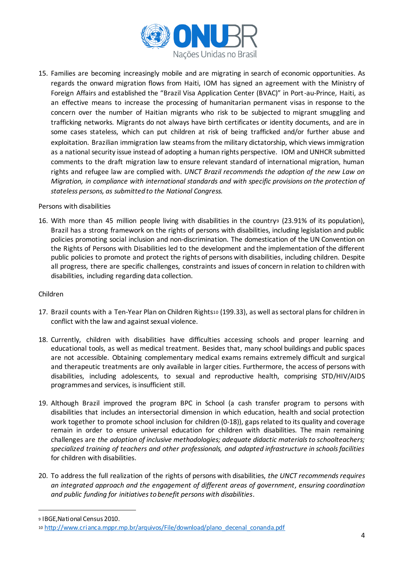

15. Families are becoming increasingly mobile and are migrating in search of economic opportunities. As regards the onward migration flows from Haiti, IOM has signed an agreement with the Ministry of Foreign Affairs and established the "Brazil Visa Application Center (BVAC)" in Port-au-Prince, Haiti, as an effective means to increase the processing of humanitarian permanent visas in response to the concern over the number of Haitian migrants who risk to be subjected to migrant smuggling and trafficking networks. Migrants do not always have birth certificates or identity documents, and are in some cases stateless, which can put children at risk of being trafficked and/or further abuse and exploitation. Brazilian immigration law steams from the military dictatorship, which views immigration as a national security issue instead of adopting a human rights perspective. IOM and UNHCR submitted comments to the draft migration law to ensure relevant standard of international migration, human rights and refugee law are complied with. *UNCT Brazil recommends the adoption of the new Law on Migration, in compliance with international standards and with specific provisions on the protection of stateless persons, as submitted to the National Congress.*

#### Persons with disabilities

16. With more than 45 million people living with disabilities in the country<sup>9</sup> (23.91% of its population), Brazil has a strong framework on the rights of persons with disabilities, including legislation and public policies promoting social inclusion and non-discrimination. The domestication of the UN Convention on the Rights of Persons with Disabilities led to the development and the implementation of the different public policies to promote and protect the rights of persons with disabilities, including children. Despite all progress, there are specific challenges, constraints and issues of concern in relation to children with disabilities, including regarding data collection.

#### Children

- 17. Brazil counts with a Ten-Year Plan on Children Rights<sup>10</sup> (199.33), as well as sectoral plans for children in conflict with the law and against sexual violence.
- 18. Currently, children with disabilities have difficulties accessing schools and proper learning and educational tools, as well as medical treatment. Besides that, many school buildings and public spaces are not accessible. Obtaining complementary medical exams remains extremely difficult and surgical and therapeutic treatments are only available in larger cities. Furthermore, the access of persons with disabilities, including adolescents, to sexual and reproductive health, comprising STD/HIV/AIDS programmes and services, is insufficient still.
- 19. Although Brazil improved the program BPC in School (a cash transfer program to persons with disabilities that includes an intersectorial dimension in which education, health and social protection work together to promote school inclusion for children (0-18)), gaps related to its quality and coverage remain in order to ensure universal education for children with disabilities. The main remaining challenges are *the adoption of inclusive methodologies; adequate didactic materials to schoolteachers; specialized training of teachers and other professionals, and adapted infrastructure in schools facilities* for children with disabilities.
- 20. To address the full realization of the rights of persons with disabilities, *the UNCT recommends requires an integrated approach and the engagement of different areas of government, ensuring coordination and public funding for initiatives to benefit persons with disabilities*.

<sup>9</sup> IBGE,National Census 2010.

<sup>10</sup> http://www.crianca.mppr.mp.br/arquivos/File/download/plano\_decenal\_conanda.pdf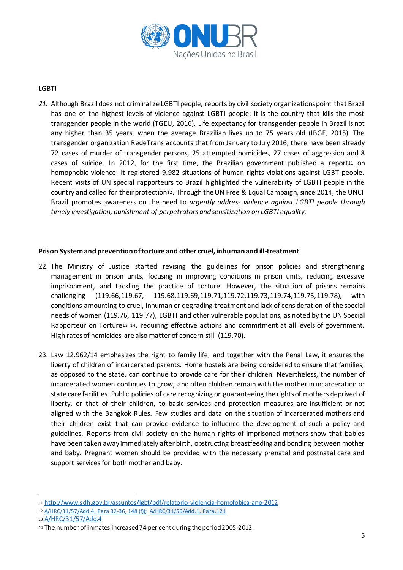

### LGBTI

*21.* Although Brazil does not criminalize LGBTI people, reports by civil society organizations point that Brazil has one of the highest levels of violence against LGBTI people: it is the country that kills the most transgender people in the world (TGEU, 2016). Life expectancy for transgender people in Brazil is not any higher than 35 years, when the average Brazilian lives up to 75 years old (IBGE, 2015). The transgender organization RedeTrans accounts that from January to July 2016, there have been already 72 cases of murder of transgender persons, 25 attempted homicides, 27 cases of aggression and 8 cases of suicide. In 2012, for the first time, the Brazilian government published a report $11$  on homophobic violence: it registered 9.982 situations of human rights violations against LGBT people. Recent visits of UN special rapporteurs to Brazil highlighted the vulnerability of LGBTI people in the country and called for their protection12. Through the UN Free & Equal Campaign, since 2014, the UNCT Brazil promotes awareness on the need to *urgently address violence against LGBTI people through timely investigation, punishment of perpetrators and sensitization on LGBTI equality.*

### **Prison Systemand prevention of torture and other cruel, inhuman and ill-treatment**

- 22. The Ministry of Justice started revising the guidelines for prison policies and strengthening management in prison units, focusing in improving conditions in prison units, reducing excessive imprisonment, and tackling the practice of torture. However, the situation of prisons remains challenging (119.66,119.67, 119.68,119.69,119.71,119.72,119.73,119.74,119.75,119.78), with conditions amounting to cruel, inhuman or degrading treatment and lack of consideration of the special needs of women (119.76, 119.77), LGBTI and other vulnerable populations, as noted by the UN Special Rapporteur on Torture13 14, requiring effective actions and commitment at all levels of government. High rates of homicides are also matter of concern still (119.70).
- 23. Law 12.962/14 emphasizes the right to family life, and together with the Penal Law, it ensures the liberty of children of incarcerated parents. Home hostels are being considered to ensure that families, as opposed to the state, can continue to provide care for their children. Nevertheless, the number of incarcerated women continues to grow, and often children remain with the mother in incarceration or state care facilities. Public policies of care recognizing or guaranteeing the rights of mothers deprived of liberty, or that of their children, to basic services and protection measures are insufficient or not aligned with the Bangkok Rules. Few studies and data on the situation of incarcerated mothers and their children exist that can provide evidence to influence the development of such a policy and guidelines. Reports from civil society on the human rights of imprisoned mothers show that babies have been taken away immediately after birth, obstructing breastfeeding and bonding between mother and baby. Pregnant women should be provided with the necessary prenatal and postnatal care and support services for both mother and baby.

<sup>11</sup> http://www.sdh.gov.br/assuntos/lgbt/pdf/relatorio-violencia-homofobica-ano-2012

<sup>12</sup> A/HRC/31/57/Add.4, Para 32-36, 148 (f)); A/HRC/31/56/Add.1, Para.121

<sup>13</sup> A/HRC/31/57/Add.4

<sup>14</sup> The number of inmates increased 74 per cent during the period 2005-2012.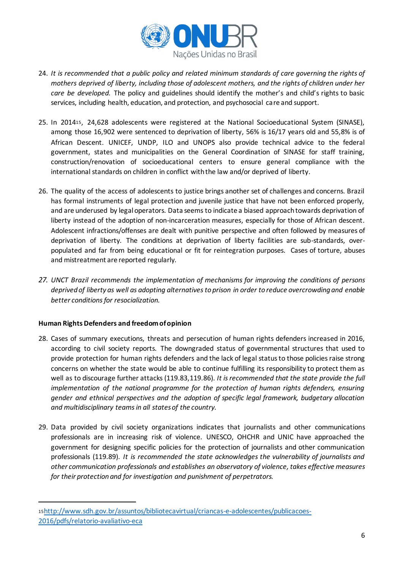

- 24. *It is recommended that a public policy and related minimum standards of care governing the rights of mothers deprived of liberty, including those of adolescent mothers, and the rights of children under her care be developed.* The policy and guidelines should identify the mother's and child's rights to basic services, including health, education, and protection, and psychosocial care and support.
- 25. In 201415, 24,628 adolescents were registered at the National Socioeducational System (SINASE), among those 16,902 were sentenced to deprivation of liberty, 56% is 16/17 years old and 55,8% is of African Descent. UNICEF, UNDP, ILO and UNOPS also provide technical advice to the federal government, states and municipalities on the General Coordination of SINASE for staff training, construction/renovation of socioeducational centers to ensure general compliance with the international standards on children in conflict with the law and/or deprived of liberty.
- 26. The quality of the access of adolescents to justice brings another set of challenges and concerns. Brazil has formal instruments of legal protection and juvenile justice that have not been enforced properly, and are underused by legal operators. Data seems to indicate a biased approach towards deprivation of liberty instead of the adoption of non-incarceration measures, especially for those of African descent. Adolescent infractions/offenses are dealt with punitive perspective and often followed by measures of deprivation of liberty. The conditions at deprivation of liberty facilities are sub-standards, overpopulated and far from being educational or fit for reintegration purposes. Cases of torture, abuses and mistreatment are reported regularly.
- *27. UNCT Brazil recommends the implementation of mechanisms for improving the conditions of persons deprived of liberty as well as adopting alternatives to prison in order to reduce overcrowding and enable better conditions for resocialization.*

# **Human Rights Defenders and freedom of opinion**

- 28. Cases of summary executions, threats and persecution of human rights defenders increased in 2016, according to civil society reports. The downgraded status of governmental structures that used to provide protection for human rights defenders and the lack of legal status to those policies raise strong concerns on whether the state would be able to continue fulfilling its responsibility to protect them as well as to discourage further attacks (119.83,119.86). *It is recommended that the state provide the full*  implementation of the national programme for the protection of human rights defenders, ensuring *gender and ethnical perspectives and the adoption of specific legal framework, budgetary allocation and multidisciplinary teams in all states of the country.*
- 29. Data provided by civil society organizations indicates that journalists and other communications professionals are in increasing risk of violence. UNESCO, OHCHR and UNIC have approached the government for designing specific policies for the protection of journalists and other communication professionals (119.89). *It is recommended the state acknowledges the vulnerability of journalists and other communication professionals and establishes an observatory of violence, takes effective measures for their protection and for investigation and punishment of perpetrators.*

<sup>15</sup>http://www.sdh.gov.br/assuntos/bibliotecavirtual/criancas-e-adolescentes/publicacoes-2016/pdfs/relatorio-avaliativo-eca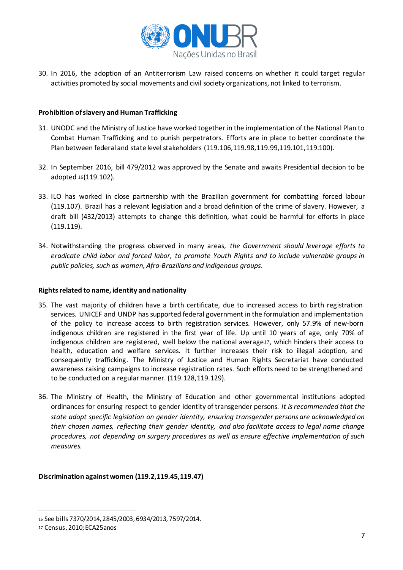

30. In 2016, the adoption of an Antiterrorism Law raised concerns on whether it could target regular activities promoted by social movements and civil society organizations, not linked to terrorism.

### **Prohibition of slavery and Human Trafficking**

- 31. UNODC and the Ministry of Justice have worked together in the implementation of the National Plan to Combat Human Trafficking and to punish perpetrators. Efforts are in place to better coordinate the Plan between federal and state level stakeholders (119.106,119.98,119.99,119.101,119.100).
- 32. In September 2016, bill 479/2012 was approved by the Senate and awaits Presidential decision to be adopted <sup>16</sup>(119.102).
- 33. ILO has worked in close partnership with the Brazilian government for combatting forced labour (119.107). Brazil has a relevant legislation and a broad definition of the crime of slavery. However, a draft bill (432/2013) attempts to change this definition, what could be harmful for efforts in place (119.119).
- 34. Notwithstanding the progress observed in many areas, *the Government should leverage efforts to eradicate child labor and forced labor, to promote Youth Rights and to include vulnerable groups in public policies, such as women, Afro-Brazilians and indigenous groups.*

#### **Rights related to name, identity and nationality**

- 35. The vast majority of children have a birth certificate, due to increased access to birth registration services. UNICEF and UNDP has supported federal government in the formulation and implementation of the policy to increase access to birth registration services. However, only 57.9% of new-born indigenous children are registered in the first year of life. Up until 10 years of age, only 70% of indigenous children are registered, well below the national average17, which hinders their access to health, education and welfare services. It further increases their risk to illegal adoption, and consequently trafficking. The Ministry of Justice and Human Rights Secretariat have conducted awareness raising campaigns to increase registration rates. Such efforts need to be strengthened and to be conducted on a regular manner. (119.128,119.129).
- 36. The Ministry of Health, the Ministry of Education and other governmental institutions adopted ordinances for ensuring respect to gender identity of transgender persons. *It is recommended that the state adopt specific legislation on gender identity, ensuring transgender persons are acknowledged on their chosen names, reflecting their gender identity, and also facilitate access to legal name change procedures, not depending on surgery procedures as well as ensure effective implementation of such measures.*

# **Discrimination against women (119.2,119.45,119.47)**

<sup>16</sup> See bills 7370/2014, 2845/2003, 6934/2013, 7597/2014.

<sup>17</sup> Census, 2010; ECA25anos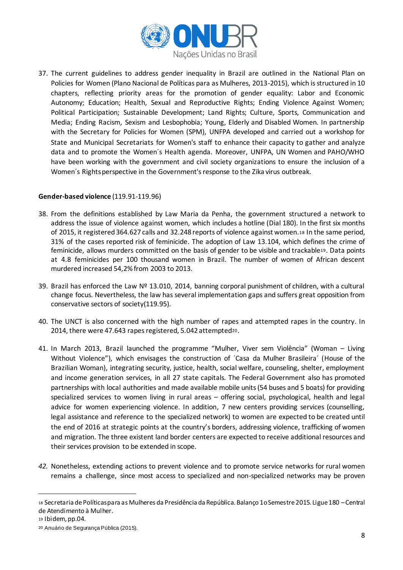

37. The current guidelines to address gender inequality in Brazil are outlined in the National Plan on Policies for Women (Plano Nacional de Políticas para as Mulheres, 2013-2015), which is structured in 10 chapters, reflecting priority areas for the promotion of gender equality: Labor and Economic Autonomy; Education; Health, Sexual and Reproductive Rights; Ending Violence Against Women; Political Participation; Sustainable Development; Land Rights; Culture, Sports, Communication and Media; Ending Racism, Sexism and Lesbophobia; Young, Elderly and Disabled Women. In partnership with the Secretary for Policies for Women (SPM), UNFPA developed and carried out a workshop for State and Municipal Secretariats for Women's staff to enhance their capacity to gather and analyze data and to promote the Women´s Health agenda. Moreover, UNFPA, UN Women and PAHO/WHO have been working with the government and civil society organizations to ensure the inclusion of a Women´s Rights perspective in the Government's response to the Zika virus outbreak.

### **Gender-based violence** (119.91-119.96)

- 38. From the definitions established by Law Maria da Penha, the government structured a network to address the issue of violence against women, which includes a hotline (Dial 180). In the first six months of 2015, it registered 364.627 calls and 32.248 reports of violence against women.<sup>18</sup> In the same period, 31% of the cases reported risk of feminicide. The adoption of Law 13.104, which defines the crime of feminicide, allows murders committed on the basis of gender to be visible and trackable19. Data points at 4.8 feminicides per 100 thousand women in Brazil. The number of women of African descent murdered increased 54,2% from 2003 to 2013.
- 39. Brazil has enforced the Law Nº 13.010, 2014, banning corporal punishment of children, with a cultural change focus. Nevertheless, the law has several implementation gaps and suffers great opposition from conservative sectors of society(119.95).
- 40. The UNCT is also concerned with the high number of rapes and attempted rapes in the country. In 2014, there were 47.643 rapes registered, 5.042 attempted20.
- 41. In March 2013, Brazil launched the programme "Mulher, Viver sem Violência" (Woman Living Without Violence"), which envisages the construction of ´Casa da Mulher Brasileira´ (House of the Brazilian Woman), integrating security, justice, health, social welfare, counseling, shelter, employment and income generation services, in all 27 state capitals. The Federal Government also has promoted partnerships with local authorities and made available mobile units (54 buses and 5 boats) for providing specialized services to women living in rural areas – offering social, psychological, health and legal advice for women experiencing violence. In addition, 7 new centers providing services (counselling, legal assistance and reference to the specialized network) to women are expected to be created until the end of 2016 at strategic points at the country's borders, addressing violence, trafficking of women and migration. The three existent land border centers are expected to receive additional resources and their services provision to be extended in scope.
- *42.* Nonetheless, extending actions to prevent violence and to promote service networks for rural women remains a challenge, since most access to specialized and non-specialized networks may be proven

<sup>18</sup> Secretaria de Políticas para as Mulheres da Presidência da República. Balanço 1o Semestre 2015. Ligue 180 –Central de Atendimento à Mulher.

<sup>19</sup> Ibidem, pp.04.

<sup>20</sup> Anuário de Segurança Pública (2015).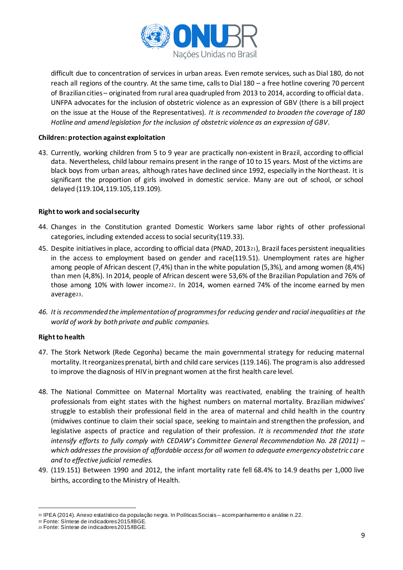

difficult due to concentration of services in urban areas. Even remote services, such as Dial 180, do not reach all regions of the country. At the same time, calls to Dial 180 – a free hotline covering 70 percent of Brazilian cities – originated from rural area quadrupled from 2013 to 2014, according to official data. UNFPA advocates for the inclusion of obstetric violence as an expression of GBV (there is a bill project on the issue at the House of the Representatives). *It is recommended to broaden the coverage of 180 Hotline and amend legislation for the inclusion of obstetric violence as an expression of GBV.*

### **Children: protection against exploitation**

43. Currently, working children from 5 to 9 year are practically non-existent in Brazil, according to official data. Nevertheless, child labour remains present in the range of 10 to 15 years. Most of the victims are black boys from urban areas, although rates have declined since 1992, especially in the Northeast. It is significant the proportion of girls involved in domestic service. Many are out of school, or school delayed (119.104,119.105,119.109).

### **Right to work and social security**

- 44. Changes in the Constitution granted Domestic Workers same labor rights of other professional categories, including extended access to social security(119.33).
- 45. Despite initiatives in place, according to official data (PNAD, 201321), Brazil faces persistent inequalities in the access to employment based on gender and race(119.51). Unemployment rates are higher among people of African descent (7,4%) than in the white population (5,3%), and among women (8,4%) than men (4,8%). In 2014, people of African descent were 53,6% of the Brazilian Population and 76% of those among 10% with lower income22. In 2014, women earned 74% of the income earned by men average23.
- *46. It is recommended the implementation of programmes for reducing gender and racial inequalities at the world of work by both private and public companies.*

# **Right to health**

- 47. The Stork Network (Rede Cegonha) became the main governmental strategy for reducing maternal mortality. It reorganizes prenatal, birth and child care services (119.146). The program is also addressed to improve the diagnosis of HIV in pregnant women at the first health care level.
- 48. The National Committee on Maternal Mortality was reactivated, enabling the training of health professionals from eight states with the highest numbers on maternal mortality. Brazilian midwives' struggle to establish their professional field in the area of maternal and child health in the country (midwives continue to claim their social space, seeking to maintain and strengthen the profession, and legislative aspects of practice and regulation of their profession. *It is recommended that the state intensify efforts to fully comply with CEDAW's Committee General Recommendation No. 28 (2011) – which addresses the provision of affordable access for all women to adequate emergency obstetric care and to effective judicial remedies.*
- 49. (119.151) Between 1990 and 2012, the infant mortality rate fell 68.4% to 14.9 deaths per 1,000 live births, according to the Ministry of Health.

<sup>1</sup> <sup>21</sup> IPEA (2014). Anexo estatístico da população negra. In Políticas Sociais – acompanhamento e análise n.22.

<sup>22</sup> Fonte: Síntese de indicadores 2015/IBGE.

<sup>23</sup> Fonte: Síntese de indicadores 2015/IBGE.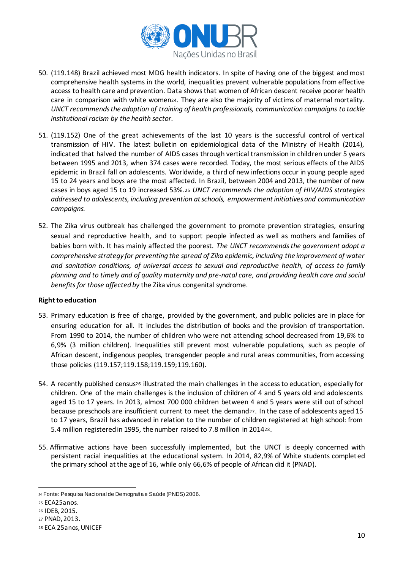

- 50. (119.148) Brazil achieved most MDG health indicators. In spite of having one of the biggest and most comprehensive health systems in the world, inequalities prevent vulnerable populations from effective access to health care and prevention. Data shows that women of African descent receive poorer health care in comparison with white women24. They are also the majority of victims of maternal mortality. *UNCT recommendsthe adoption of training of health professionals, communication campaigns to tackle institutional racism by the health sector.*
- 51. (119.152) One of the great achievements of the last 10 years is the successful control of vertical transmission of HIV. The latest bulletin on epidemiological data of the Ministry of Health (2014), indicated that halved the number of AIDS cases through vertical transmission in children under 5 years between 1995 and 2013, when 374 cases were recorded. Today, the most serious effects of the AIDS epidemic in Brazil fall on adolescents. Worldwide, a third of new infections occur in young people aged 15 to 24 years and boys are the most affected. In Brazil, between 2004 and 2013, the number of new cases in boys aged 15 to 19 increased 53%.<sup>25</sup> *UNCT recommends the adoption of HIV/AIDS strategies addressed to adolescents, including prevention at schools, empowerment initiatives and communication campaigns.*
- 52. The Zika virus outbreak has challenged the government to promote prevention strategies, ensuring sexual and reproductive health, and to support people infected as well as mothers and families of babies born with. It has mainly affected the poorest*. The UNCT recommendsthe government adopt a comprehensive strategy for preventing the spread of Zika epidemic, including the improvement of water and sanitation conditions, of universal access to sexual and reproductive health, of access to family planning and to timely and of quality maternity and pre-natal care, and providing health care and social*  benefits for those affected by the Zika virus congenital syndrome.

# **Right to education**

- 53. Primary education is free of charge, provided by the government, and public policies are in place for ensuring education for all. It includes the distribution of books and the provision of transportation. From 1990 to 2014, the number of children who were not attending school decreased from 19,6% to 6,9% (3 million children). Inequalities still prevent most vulnerable populations, such as people of African descent, indigenous peoples, transgender people and rural areas communities, from accessing those policies (119.157;119.158;119.159;119.160).
- 54. A recently published census<sup>26</sup> illustrated the main challenges in the access to education, especially for children. One of the main challenges is the inclusion of children of 4 and 5 years old and adolescents aged 15 to 17 years. In 2013, almost 700 000 children between 4 and 5 years were still out of school because preschools are insufficient current to meet the demand27. In the case of adolescents aged 15 to 17 years, Brazil has advanced in relation to the number of children registered at high school: from 5.4 million registered in 1995, the number raised to 7.8 million in 201428.
- 55. Affirmative actions have been successfully implemented, but the UNCT is deeply concerned with persistent racial inequalities at the educational system. In 2014, 82,9% of White students completed the primary school at the age of 16, while only 66,6% of people of African did it (PNAD).

<sup>1</sup> <sup>24</sup> Fonte: Pesquisa Nacional de Demografia e Saúde (PNDS) 2006.

<sup>25</sup> ECA25anos.

<sup>26</sup> IDEB, 2015.

<sup>27</sup> PNAD, 2013.

<sup>28</sup> ECA 25anos, UNICEF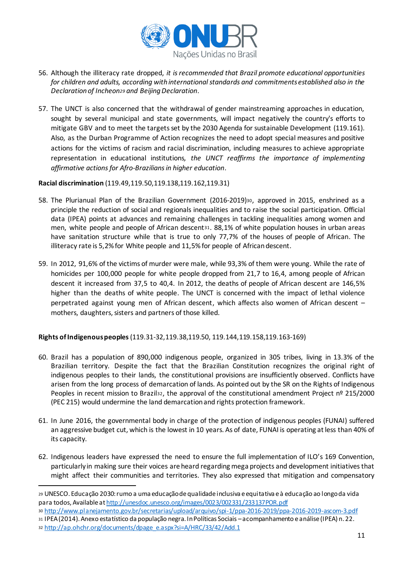

- 56. Although the illiteracy rate dropped, *it is recommended that Brazil promote educational opportunities for children and adults, according with international standards and commitments established also in the Declaration of Incheon<sup>29</sup> and Beijing Declaration*.
- 57. The UNCT is also concerned that the withdrawal of gender mainstreaming approaches in education, sought by several municipal and state governments, will impact negatively the country's efforts to mitigate GBV and to meet the targets set by the 2030 Agenda for sustainable Development (119.161). Also, as the Durban Programme of Action recognizes the need to adopt special measures and positive actions for the victims of racism and racial discrimination, including measures to achieve appropriate representation in educational institutions*, the UNCT reaffirms the importance of implementing affirmative actionsfor Afro-Brazilians in higher education*.

### **Racial discrimination** (119.49,119.50,119.138,119.162,119.31)

-

- 58. The Plurianual Plan of the Brazilian Government (2016-2019)30, approved in 2015, enshrined as a principle the reduction of social and regionals inequalities and to raise the social participation. Official data (IPEA) points at advances and remaining challenges in tackling inequalities among women and men, white people and people of African descent31. 88,1% of white population houses in urban areas have sanitation structure while that is true to only 77,7% of the houses of people of African. The illiteracy rate is 5,2% for White people and 11,5% for people of African descent.
- 59. In 2012, 91,6% of the victims of murder were male, while 93,3% of them were young. While the rate of homicides per 100,000 people for white people dropped from 21,7 to 16,4, among people of African descent it increased from 37,5 to 40,4. In 2012, the deaths of people of African descent are 146,5% higher than the deaths of white people. The UNCT is concerned with the impact of lethal violence perpetrated against young men of African descent, which affects also women of African descent – mothers, daughters, sisters and partners of those killed.

# **Rights of Indigenous peoples**(119.31-32,119.38,119.50, 119.144,119.158,119.163-169)

- 60. Brazil has a population of 890,000 indigenous people, organized in 305 tribes, living in 13.3% of the Brazilian territory. Despite the fact that the Brazilian Constitution recognizes the original right of indigenous peoples to their lands, the constitutional provisions are insufficiently observed. Conflicts have arisen from the long process of demarcation of lands. As pointed out by the SR on the Rights of Indigenous Peoples in recent mission to Brazil<sup>32</sup>, the approval of the constitutional amendment Project nº 215/2000 (PEC 215) would undermine the land demarcation and rights protection framework.
- 61. In June 2016, the governmental body in charge of the protection of indigenous peoples (FUNAI) suffered an aggressive budget cut, which is the lowest in 10 years. As of date, FUNAI is operating at less than 40% of its capacity.
- 62. Indigenous leaders have expressed the need to ensure the full implementation of ILO's 169 Convention, particularly in making sure their voices are heard regarding mega projects and development initiatives that might affect their communities and territories. They also expressed that mitigation and compensatory

<sup>30</sup> http://www.planejamento.gov.br/secretarias/upload/arquivo/spi-1/ppa-2016-2019/ppa-2016-2019-ascom-3.pdf

<sup>29</sup> UNESCO. Educação 2030: rumo a uma educação de qualidade inclusiva e equitativa e à educação ao longo da vida para todos, Available at http://unesdoc.unesco.org/images/0023/002331/233137POR.pdf

<sup>31</sup> IPEA(2014). Anexo estatístico da população negra. In Políticas Sociais –acompanhamento e análise (IPEA) n. 22. 32 http://ap.ohchr.org/documents/dpage\_e.aspx?si=A/HRC/33/42/Add.1